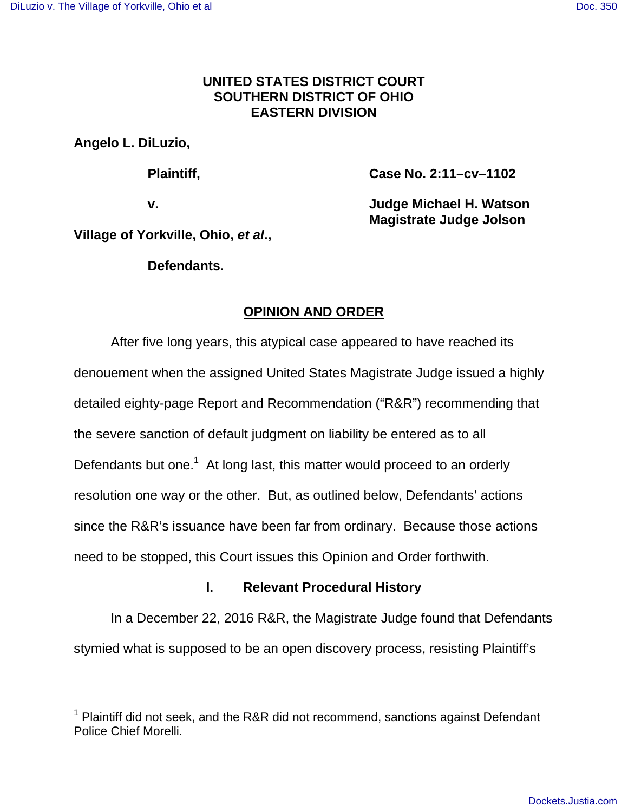## **UNITED STATES DISTRICT COURT SOUTHERN DISTRICT OF OHIO EASTERN DIVISION**

**Angelo L. DiLuzio,** 

**Plaintiff, Case No. 2:11–cv–1102** 

**v. Judge Michael H. Watson Magistrate Judge Jolson**

**Village of Yorkville, Ohio, et al.,** 

**Defendants.**

# **OPINION AND ORDER**

 After five long years, this atypical case appeared to have reached its denouement when the assigned United States Magistrate Judge issued a highly detailed eighty-page Report and Recommendation ("R&R") recommending that the severe sanction of default judgment on liability be entered as to all Defendants but one. $1$  At long last, this matter would proceed to an orderly resolution one way or the other. But, as outlined below, Defendants' actions since the R&R's issuance have been far from ordinary. Because those actions need to be stopped, this Court issues this Opinion and Order forthwith.

## **I. Relevant Procedural History**

In a December 22, 2016 R&R, the Magistrate Judge found that Defendants stymied what is supposed to be an open discovery process, resisting Plaintiff's

 $1$  Plaintiff did not seek, and the R&R did not recommend, sanctions against Defendant Police Chief Morelli.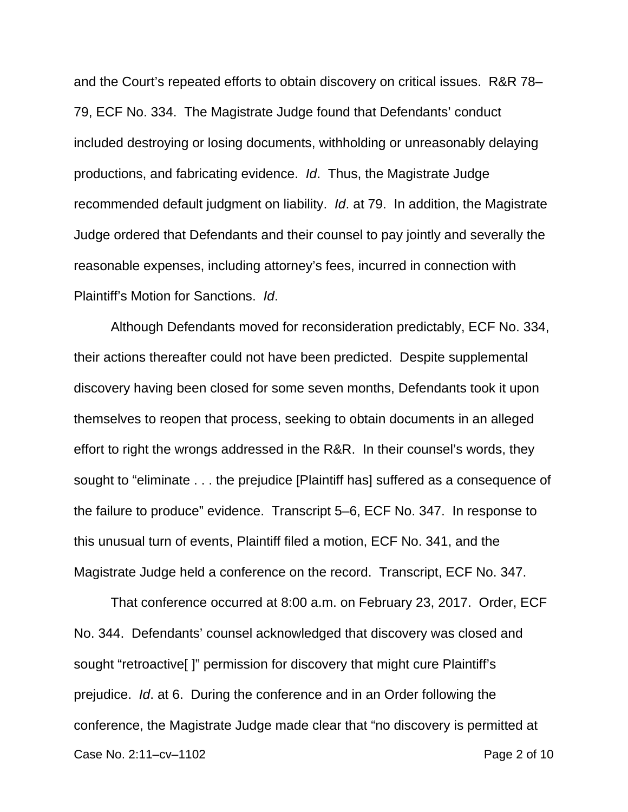and the Court's repeated efforts to obtain discovery on critical issues. R&R 78– 79, ECF No. 334. The Magistrate Judge found that Defendants' conduct included destroying or losing documents, withholding or unreasonably delaying productions, and fabricating evidence. Id. Thus, the Magistrate Judge recommended default judgment on liability. Id. at 79. In addition, the Magistrate Judge ordered that Defendants and their counsel to pay jointly and severally the reasonable expenses, including attorney's fees, incurred in connection with Plaintiff's Motion for Sanctions. Id.

Although Defendants moved for reconsideration predictably, ECF No. 334, their actions thereafter could not have been predicted. Despite supplemental discovery having been closed for some seven months, Defendants took it upon themselves to reopen that process, seeking to obtain documents in an alleged effort to right the wrongs addressed in the R&R. In their counsel's words, they sought to "eliminate . . . the prejudice [Plaintiff has] suffered as a consequence of the failure to produce" evidence. Transcript 5–6, ECF No. 347. In response to this unusual turn of events, Plaintiff filed a motion, ECF No. 341, and the Magistrate Judge held a conference on the record. Transcript, ECF No. 347.

Case No. 2:11–cv–1102 Page 2 of 10 That conference occurred at 8:00 a.m. on February 23, 2017. Order, ECF No. 344. Defendants' counsel acknowledged that discovery was closed and sought "retroactive[ ]" permission for discovery that might cure Plaintiff's prejudice. Id. at 6. During the conference and in an Order following the conference, the Magistrate Judge made clear that "no discovery is permitted at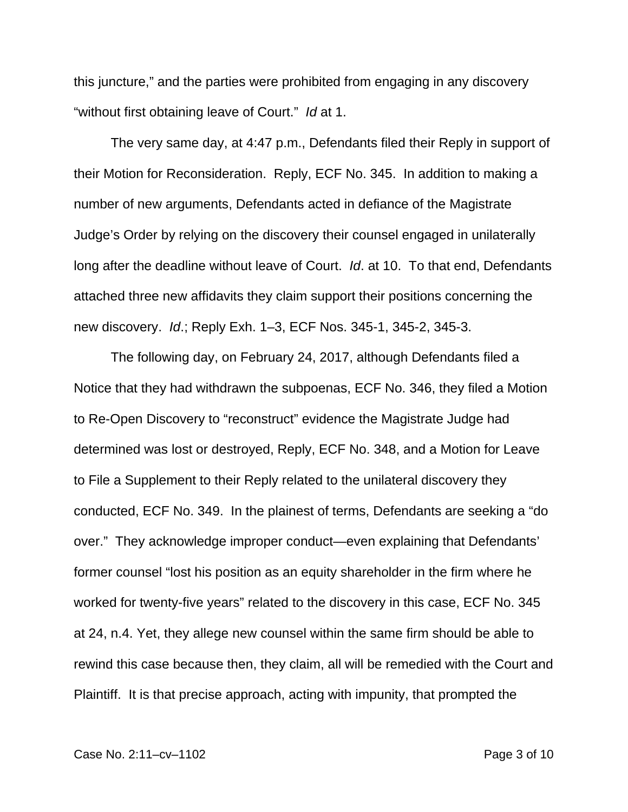this juncture," and the parties were prohibited from engaging in any discovery "without first obtaining leave of Court." Id at 1.

The very same day, at 4:47 p.m., Defendants filed their Reply in support of their Motion for Reconsideration. Reply, ECF No. 345. In addition to making a number of new arguments, Defendants acted in defiance of the Magistrate Judge's Order by relying on the discovery their counsel engaged in unilaterally long after the deadline without leave of Court. Id. at 10. To that end, Defendants attached three new affidavits they claim support their positions concerning the new discovery. Id.; Reply Exh. 1–3, ECF Nos. 345-1, 345-2, 345-3.

The following day, on February 24, 2017, although Defendants filed a Notice that they had withdrawn the subpoenas, ECF No. 346, they filed a Motion to Re-Open Discovery to "reconstruct" evidence the Magistrate Judge had determined was lost or destroyed, Reply, ECF No. 348, and a Motion for Leave to File a Supplement to their Reply related to the unilateral discovery they conducted, ECF No. 349. In the plainest of terms, Defendants are seeking a "do over." They acknowledge improper conduct—even explaining that Defendants' former counsel "lost his position as an equity shareholder in the firm where he worked for twenty-five years" related to the discovery in this case, ECF No. 345 at 24, n.4. Yet, they allege new counsel within the same firm should be able to rewind this case because then, they claim, all will be remedied with the Court and Plaintiff. It is that precise approach, acting with impunity, that prompted the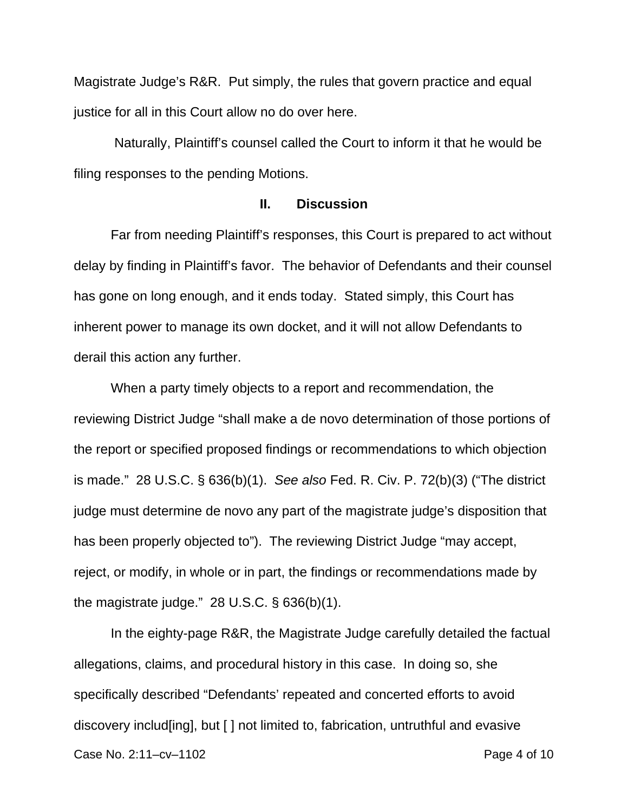Magistrate Judge's R&R. Put simply, the rules that govern practice and equal justice for all in this Court allow no do over here.

 Naturally, Plaintiff's counsel called the Court to inform it that he would be filing responses to the pending Motions.

## **II. Discussion**

Far from needing Plaintiff's responses, this Court is prepared to act without delay by finding in Plaintiff's favor. The behavior of Defendants and their counsel has gone on long enough, and it ends today. Stated simply, this Court has inherent power to manage its own docket, and it will not allow Defendants to derail this action any further.

When a party timely objects to a report and recommendation, the reviewing District Judge "shall make a de novo determination of those portions of the report or specified proposed findings or recommendations to which objection is made." 28 U.S.C. § 636(b)(1). See also Fed. R. Civ. P. 72(b)(3) ("The district judge must determine de novo any part of the magistrate judge's disposition that has been properly objected to"). The reviewing District Judge "may accept, reject, or modify, in whole or in part, the findings or recommendations made by the magistrate judge." 28 U.S.C. § 636(b)(1).

Case No. 2:11–cv–1102 **Page 4 of 10**  In the eighty-page R&R, the Magistrate Judge carefully detailed the factual allegations, claims, and procedural history in this case. In doing so, she specifically described "Defendants' repeated and concerted efforts to avoid discovery includ[ing], but [ ] not limited to, fabrication, untruthful and evasive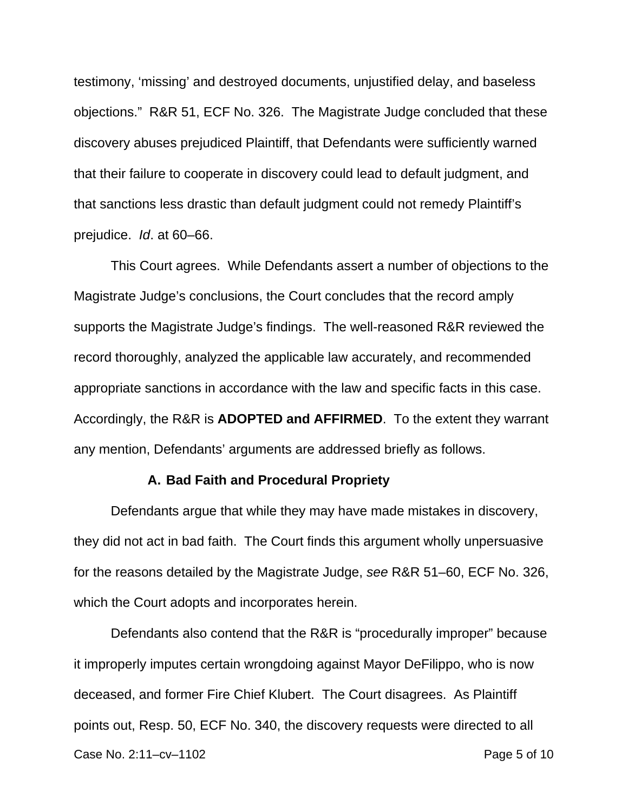testimony, 'missing' and destroyed documents, unjustified delay, and baseless objections." R&R 51, ECF No. 326. The Magistrate Judge concluded that these discovery abuses prejudiced Plaintiff, that Defendants were sufficiently warned that their failure to cooperate in discovery could lead to default judgment, and that sanctions less drastic than default judgment could not remedy Plaintiff's prejudice. Id. at 60–66.

 This Court agrees. While Defendants assert a number of objections to the Magistrate Judge's conclusions, the Court concludes that the record amply supports the Magistrate Judge's findings. The well-reasoned R&R reviewed the record thoroughly, analyzed the applicable law accurately, and recommended appropriate sanctions in accordance with the law and specific facts in this case. Accordingly, the R&R is **ADOPTED and AFFIRMED**. To the extent they warrant any mention, Defendants' arguments are addressed briefly as follows.

#### **A. Bad Faith and Procedural Propriety**

Defendants argue that while they may have made mistakes in discovery, they did not act in bad faith. The Court finds this argument wholly unpersuasive for the reasons detailed by the Magistrate Judge, see R&R 51–60, ECF No. 326, which the Court adopts and incorporates herein.

Case No. 2:11–cv–1102 Page 5 of 10 Defendants also contend that the R&R is "procedurally improper" because it improperly imputes certain wrongdoing against Mayor DeFilippo, who is now deceased, and former Fire Chief Klubert. The Court disagrees. As Plaintiff points out, Resp. 50, ECF No. 340, the discovery requests were directed to all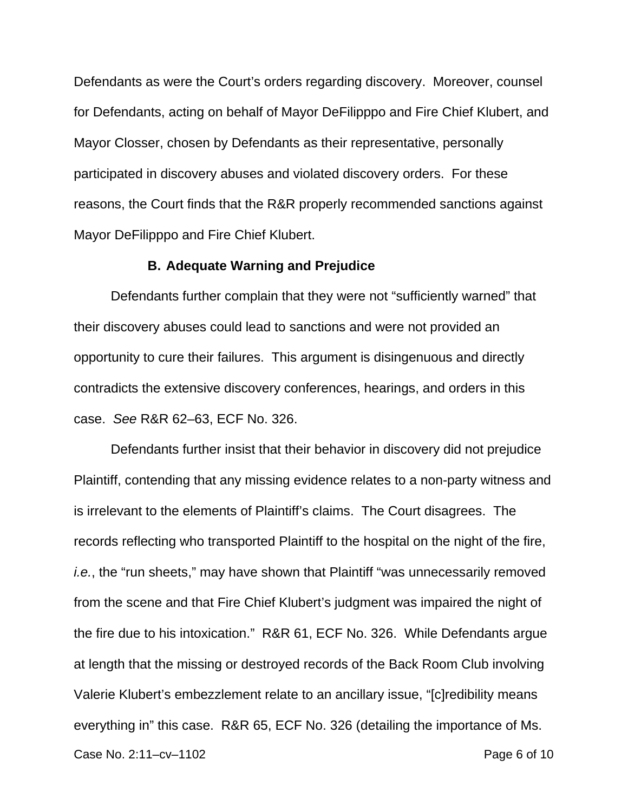Defendants as were the Court's orders regarding discovery. Moreover, counsel for Defendants, acting on behalf of Mayor DeFilipppo and Fire Chief Klubert, and Mayor Closser, chosen by Defendants as their representative, personally participated in discovery abuses and violated discovery orders. For these reasons, the Court finds that the R&R properly recommended sanctions against Mayor DeFilipppo and Fire Chief Klubert.

#### **B. Adequate Warning and Prejudice**

 Defendants further complain that they were not "sufficiently warned" that their discovery abuses could lead to sanctions and were not provided an opportunity to cure their failures. This argument is disingenuous and directly contradicts the extensive discovery conferences, hearings, and orders in this case. See R&R 62–63, ECF No. 326.

Case No. 2:11–cv–1102 Page 6 of 10 Defendants further insist that their behavior in discovery did not prejudice Plaintiff, contending that any missing evidence relates to a non-party witness and is irrelevant to the elements of Plaintiff's claims. The Court disagrees. The records reflecting who transported Plaintiff to the hospital on the night of the fire, i.e., the "run sheets," may have shown that Plaintiff "was unnecessarily removed from the scene and that Fire Chief Klubert's judgment was impaired the night of the fire due to his intoxication." R&R 61, ECF No. 326. While Defendants argue at length that the missing or destroyed records of the Back Room Club involving Valerie Klubert's embezzlement relate to an ancillary issue, "[c]redibility means everything in" this case. R&R 65, ECF No. 326 (detailing the importance of Ms.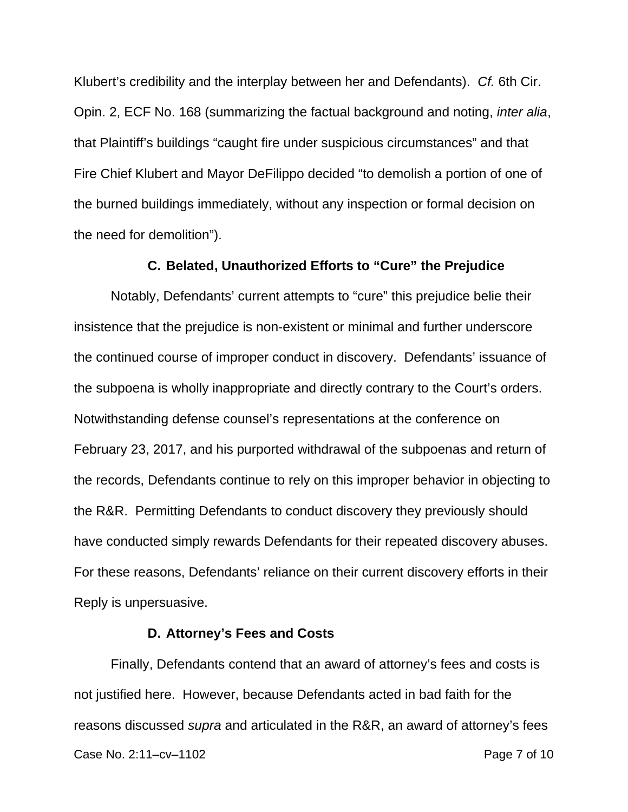Klubert's credibility and the interplay between her and Defendants). Cf. 6th Cir. Opin. 2, ECF No. 168 (summarizing the factual background and noting, inter alia, that Plaintiff's buildings "caught fire under suspicious circumstances" and that Fire Chief Klubert and Mayor DeFilippo decided "to demolish a portion of one of the burned buildings immediately, without any inspection or formal decision on the need for demolition").

## **C. Belated, Unauthorized Efforts to "Cure" the Prejudice**

 Notably, Defendants' current attempts to "cure" this prejudice belie their insistence that the prejudice is non-existent or minimal and further underscore the continued course of improper conduct in discovery. Defendants' issuance of the subpoena is wholly inappropriate and directly contrary to the Court's orders. Notwithstanding defense counsel's representations at the conference on February 23, 2017, and his purported withdrawal of the subpoenas and return of the records, Defendants continue to rely on this improper behavior in objecting to the R&R. Permitting Defendants to conduct discovery they previously should have conducted simply rewards Defendants for their repeated discovery abuses. For these reasons, Defendants' reliance on their current discovery efforts in their Reply is unpersuasive.

### **D. Attorney's Fees and Costs**

Case No. 2:11–cv–1102 Page 7 of 10 Finally, Defendants contend that an award of attorney's fees and costs is not justified here. However, because Defendants acted in bad faith for the reasons discussed supra and articulated in the R&R, an award of attorney's fees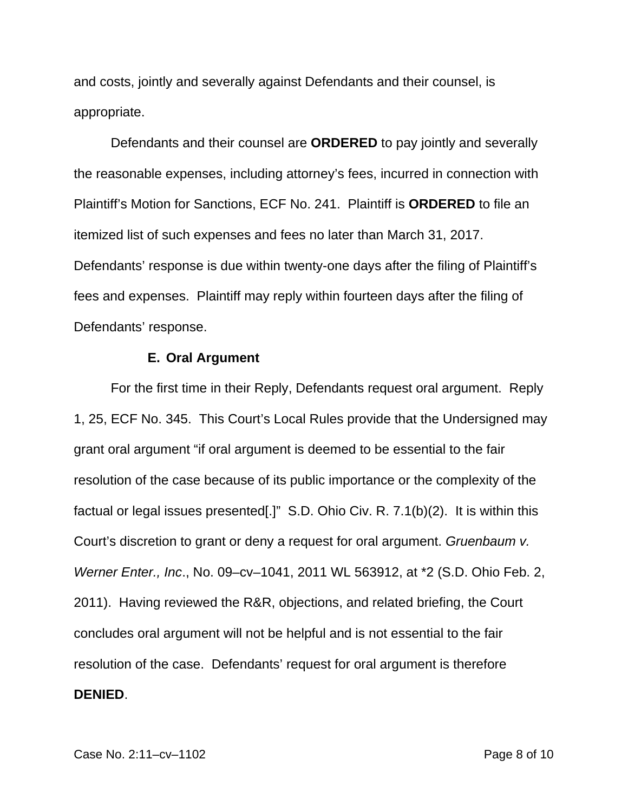and costs, jointly and severally against Defendants and their counsel, is appropriate.

Defendants and their counsel are **ORDERED** to pay jointly and severally the reasonable expenses, including attorney's fees, incurred in connection with Plaintiff's Motion for Sanctions, ECF No. 241. Plaintiff is **ORDERED** to file an itemized list of such expenses and fees no later than March 31, 2017. Defendants' response is due within twenty-one days after the filing of Plaintiff's fees and expenses. Plaintiff may reply within fourteen days after the filing of Defendants' response.

## **E. Oral Argument**

For the first time in their Reply, Defendants request oral argument. Reply 1, 25, ECF No. 345. This Court's Local Rules provide that the Undersigned may grant oral argument "if oral argument is deemed to be essential to the fair resolution of the case because of its public importance or the complexity of the factual or legal issues presented[.]" S.D. Ohio Civ. R. 7.1(b)(2). It is within this Court's discretion to grant or deny a request for oral argument. Gruenbaum v. Werner Enter., Inc., No. 09–cv–1041, 2011 WL 563912, at \*2 (S.D. Ohio Feb. 2, 2011). Having reviewed the R&R, objections, and related briefing, the Court concludes oral argument will not be helpful and is not essential to the fair resolution of the case. Defendants' request for oral argument is therefore **DENIED**.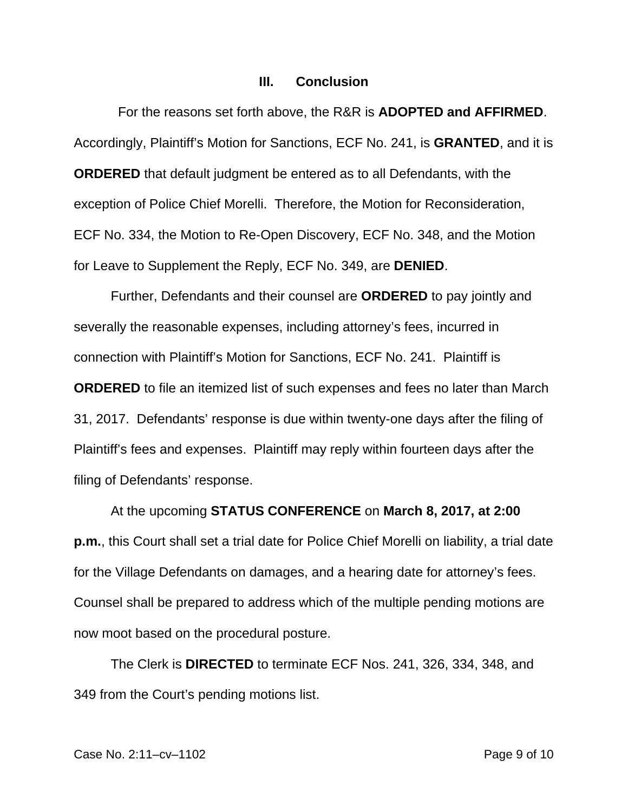### **III. Conclusion**

 For the reasons set forth above, the R&R is **ADOPTED and AFFIRMED**. Accordingly, Plaintiff's Motion for Sanctions, ECF No. 241, is **GRANTED**, and it is **ORDERED** that default judgment be entered as to all Defendants, with the exception of Police Chief Morelli. Therefore, the Motion for Reconsideration, ECF No. 334, the Motion to Re-Open Discovery, ECF No. 348, and the Motion for Leave to Supplement the Reply, ECF No. 349, are **DENIED**.

Further, Defendants and their counsel are **ORDERED** to pay jointly and severally the reasonable expenses, including attorney's fees, incurred in connection with Plaintiff's Motion for Sanctions, ECF No. 241. Plaintiff is **ORDERED** to file an itemized list of such expenses and fees no later than March 31, 2017. Defendants' response is due within twenty-one days after the filing of Plaintiff's fees and expenses. Plaintiff may reply within fourteen days after the filing of Defendants' response.

 At the upcoming **STATUS CONFERENCE** on **March 8, 2017, at 2:00 p.m.**, this Court shall set a trial date for Police Chief Morelli on liability, a trial date for the Village Defendants on damages, and a hearing date for attorney's fees. Counsel shall be prepared to address which of the multiple pending motions are now moot based on the procedural posture.

 The Clerk is **DIRECTED** to terminate ECF Nos. 241, 326, 334, 348, and 349 from the Court's pending motions list.